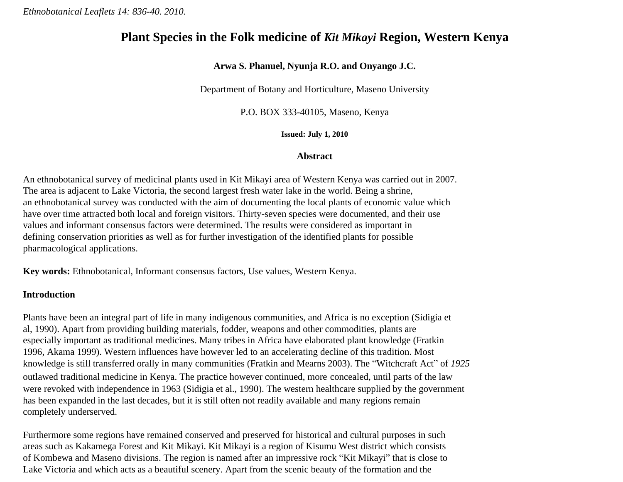*Ethnobotanical Leaflets 14: 836-40. 2010.*

# **Plant Species in the Folk medicine of** *Kit Mikayi* **Region, Western Kenya**

# **Arwa S. Phanuel, Nyunja R.O. and Onyango J.C.**

Department of Botany and Horticulture, Maseno University

P.O. BOX 333-40105, Maseno, Kenya

**Issued: July 1, 2010**

# **Abstract**

An ethnobotanical survey of medicinal plants used in Kit Mikayi area of Western Kenya was carried out in 2007. The area is adjacent to Lake Victoria, the second largest fresh water lake in the world. Being a shrine, an ethnobotanical survey was conducted with the aim of documenting the local plants of economic value which have over time attracted both local and foreign visitors. Thirty-seven species were documented, and their use values and informant consensus factors were determined. The results were considered as important in defining conservation priorities as well as for further investigation of the identified plants for possible pharmacological applications.

**Key words:** Ethnobotanical, Informant consensus factors, Use values, Western Kenya.

#### **Introduction**

Plants have been an integral part of life in many indigenous communities, and Africa is no exception (Sidigia et al, 1990). Apart from providing building materials, fodder, weapons and other commodities, plants are especially important as traditional medicines. Many tribes in Africa have elaborated plant knowledge (Fratkin 1996, Akama 1999). Western influences have however led to an accelerating decline of this tradition. Most knowledge is still transferred orally in many communities (Fratkin and Mearns 2003). The "Witchcraft Act" of *1925* outlawed traditional medicine in Kenya. The practice however continued, more concealed, until parts of the law were revoked with independence in 1963 (Sidigia et al., 1990). The western healthcare supplied by the government has been expanded in the last decades, but it is still often not readily available and many regions remain completely underserved.

Furthermore some regions have remained conserved and preserved for historical and cultural purposes in such areas such as Kakamega Forest and Kit Mikayi. Kit Mikayi is a region of Kisumu West district which consists of Kombewa and Maseno divisions. The region is named after an impressive rock "Kit Mikayi" that is close to Lake Victoria and which acts as a beautiful scenery. Apart from the scenic beauty of the formation and the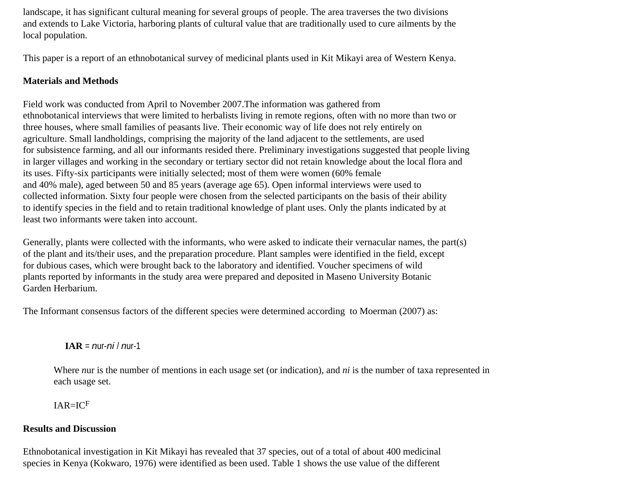landscape, it has significant cultural meaning for several groups of people. The area traverses the two divisions and extends to Lake Victoria, harboring plants of cultural value that are traditionally used to cure ailments by the local population.

This paper is a report of an ethnobotanical survey of medicinal plants used in Kit Mikayi area of Western Kenya.

# **Materials and Methods**

Field work was conducted from April to November 2007.The information was gathered from ethnobotanical interviews that were limited to herbalists living in remote regions, often with no more than two or three houses, where small families of peasants live. Their economic way of life does not rely entirely on agriculture. Small landholdings, comprising the majority of the land adjacent to the settlements, are used for subsistence farming, and all our informants resided there. Preliminary investigations suggested that people living in larger villages and working in the secondary or tertiary sector did not retain knowledge about the local flora and its uses. Fifty-six participants were initially selected; most of them were women (60% female and 40% male), aged between 50 and 85 years (average age 65). Open informal interviews were used to collected information. Sixty four people were chosen from the selected participants on the basis of their ability to identify species in the field and to retain traditional knowledge of plant uses. Only the plants indicated by at least two informants were taken into account.

Generally, plants were collected with the informants, who were asked to indicate their vernacular names, the part(s) of the plant and its/their uses, and the preparation procedure. Plant samples were identified in the field, except for dubious cases, which were brought back to the laboratory and identified. Voucher specimens of wild plants reported by informants in the study area were prepared and deposited in Maseno University Botanic Garden Herbarium.

The Informant consensus factors of the different species were determined according to Moerman (2007) as:

**IAR** = *n*ur-*ni* / *n*ur-1

Where *n*ur is the number of mentions in each usage set (or indication), and *ni* is the number of taxa represented in each usage set.

IAR=ICF

#### **Results and Discussion**

Ethnobotanical investigation in Kit Mikayi has revealed that 37 species, out of a total of about 400 medicinal species in Kenya (Kokwaro, 1976) were identified as been used. Table 1 shows the use value of the different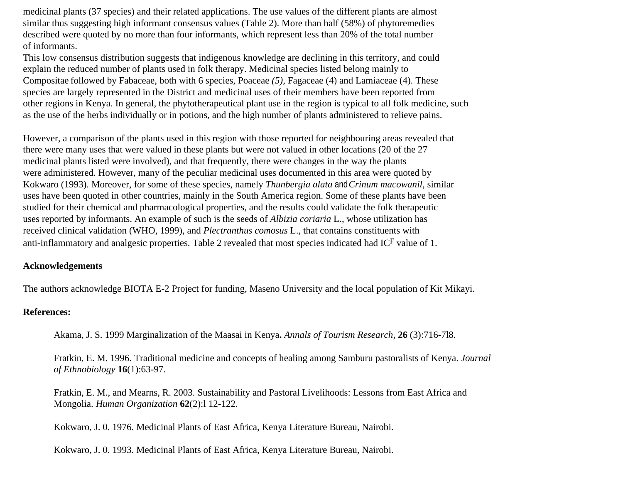medicinal plants (37 species) and their related applications. The use values of the different plants are almost similar thus suggesting high informant consensus values (Table 2). More than half (58%) of phytoremedies described were quoted by no more than four informants, which represent less than 20% of the total number of informants.

This low consensus distribution suggests that indigenous knowledge are declining in this territory, and could explain the reduced number of plants used in folk therapy. Medicinal species listed belong mainly to Compositae, followed by Fabaceae, both with 6 species, Poaceae *(5),* Fagaceae (4) and Lamiaceae (4). These species are largely represented in the District and medicinal uses of their members have been reported from other regions in Kenya. In general, the phytotherapeutical plant use in the region is typical to all folk medicine, such as the use of the herbs individually or in potions, and the high number of plants administered to relieve pains.

However, a comparison of the plants used in this region with those reported for neighbouring areas revealed that there were many uses that were valued in these plants but were not valued in other locations (20 of the 27 medicinal plants listed were involved), and that frequently, there were changes in the way the plants were administered. However, many of the peculiar medicinal uses documented in this area were quoted by Kokwaro (1993). Moreover, for some of these species, namely *Thunbergia alata* and*Crinum macowanil*, similar uses have been quoted in other countries, mainly in the South America region. Some of these plants have been studied for their chemical and pharmacological properties, and the results could validate the folk therapeutic uses reported by informants. An example of such is the seeds of *Albizia coriaria* L., whose utilization has received clinical validation (WHO, 1999), and *Plectranthus comosus* L., that contains constituents with anti-inflammatory and analgesic properties. Table 2 revealed that most species indicated had ICF value of 1.

#### **Acknowledgements**

The authors acknowledge BIOTA E-2 Project for funding, Maseno University and the local population of Kit Mikayi.

## **References:**

Akama, J. S. 1999 Marginalization of the Maasai in Kenya**.** *Annals of Tourism Research,* **26** (3):716-7l8.

Fratkin, E. M. 1996. Traditional medicine and concepts of healing among Samburu pastoralists of Kenya. *Journal of Ethnobiology* **16**(1):63-97.

Fratkin, E. M., and Mearns, R. 2003. Sustainability and Pastoral Livelihoods: Lessons from East Africa and Mongolia. *Human Organization* **62**(2):l 12-122.

Kokwaro, J. 0. 1976. Medicinal Plants of East Africa, Kenya Literature Bureau, Nairobi.

Kokwaro, J. 0. 1993. Medicinal Plants of East Africa, Kenya Literature Bureau, Nairobi.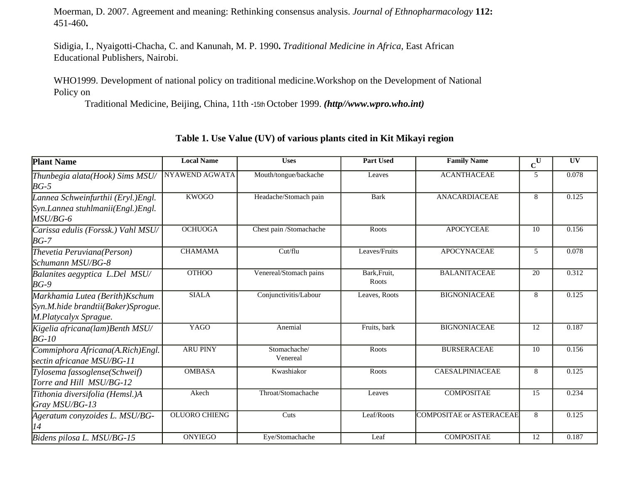Moerman, D. 2007. Agreement and meaning: Rethinking consensus analysis. *Journal of Ethnopharmacology* **112:**  451-460**.**

Sidigia, I., Nyaigotti-Chacha, C. and Kanunah, M. P. 1990**.** *Traditional Medicine in Africa,* East African Educational Publishers, Nairobi.

WHO1999. Development of national policy on traditional medicine.Workshop on the Development of National Policy on

Traditional Medicine, Beijing, China, 11th -15th October 1999. *(http//www.wpro.who.int)*

| <b>Plant Name</b>                                                                              | <b>Local Name</b>    | <b>Uses</b>              | <b>Part Used</b>      | <b>Family Name</b>              | $\mathbf{c}^{\overline{\mathbf{U}}}$ | UV    |
|------------------------------------------------------------------------------------------------|----------------------|--------------------------|-----------------------|---------------------------------|--------------------------------------|-------|
| Thunbegia alata(Hook) Sims MSU/<br>$BG-5$                                                      | NYAWEND AGWATA       | Mouth/tongue/backache    | Leaves                | <b>ACANTHACEAE</b>              | 5                                    | 0.078 |
| Lannea Schweinfurthii (Eryl.)Engl.<br>Syn.Lannea stuhlmanii(Engl.)Engl.<br>MSU/BG-6            | <b>KWOGO</b>         | Headache/Stomach pain    | <b>Bark</b>           | <b>ANACARDIACEAE</b>            | 8                                    | 0.125 |
| Carissa edulis (Forssk.) Vahl MSU/<br>$BG-7$                                                   | <b>OCHUOGA</b>       | Chest pain /Stomachache  | Roots                 | <b>APOCYCEAE</b>                | 10                                   | 0.156 |
| Thevetia Peruviana(Person)<br>Schumann MSU/BG-8                                                | <b>CHAMAMA</b>       | Cut/flu                  | Leaves/Fruits         | <b>APOCYNACEAE</b>              | 5                                    | 0.078 |
| Balanites aegyptica L.Del MSU/<br>$BG-9$                                                       | <b>OTHOO</b>         | Venereal/Stomach pains   | Bark, Fruit,<br>Roots | <b>BALANITACEAE</b>             | 20                                   | 0.312 |
| Markhamia Lutea (Berith) Kschum<br>Syn.M.hide brandtii(Baker)Sprogue.<br>M.Platycalyx Sprague. | <b>SIALA</b>         | Conjunctivitis/Labour    | Leaves, Roots         | <b>BIGNONIACEAE</b>             | 8                                    | 0.125 |
| Kigelia africana(lam)Benth MSU/<br>$BG-10$                                                     | <b>YAGO</b>          | Anemial                  | Fruits, bark          | <b>BIGNONIACEAE</b>             | 12                                   | 0.187 |
| Commiphora Africana(A.Rich)Engl.<br>sectin africanae MSU/BG-11                                 | <b>ARU PINY</b>      | Stomachache/<br>Venereal | Roots                 | <b>BURSERACEAE</b>              | 10                                   | 0.156 |
| Tylosema fassoglense(Schweif)<br>Torre and Hill MSU/BG-12                                      | <b>OMBASA</b>        | Kwashiakor               | Roots                 | <b>CAESALPINIACEAE</b>          | 8                                    | 0.125 |
| Tithonia diversifolia (Hemsl.)A<br>Gray MSU/BG-13                                              | Akech                | Throat/Stomachache       | Leaves                | <b>COMPOSITAE</b>               | 15                                   | 0.234 |
| Ageratum conyzoides L. MSU/BG-<br>14                                                           | <b>OLUORO CHIENG</b> | Cuts                     | Leaf/Roots            | <b>COMPOSITAE or ASTERACEAE</b> | 8                                    | 0.125 |
| Bidens pilosa L. MSU/BG-15                                                                     | <b>ONYIEGO</b>       | Eye/Stomachache          | Leaf                  | <b>COMPOSITAE</b>               | $\overline{12}$                      | 0.187 |

## **Table 1. Use Value (UV) of various plants cited in Kit Mikayi region**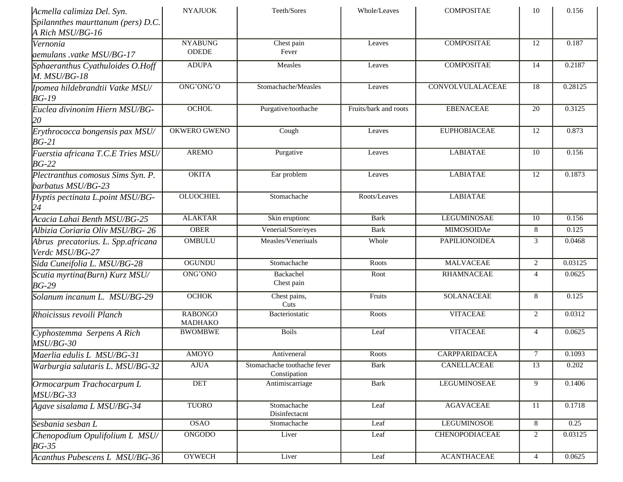| Acmella calimiza Del. Syn.                              | <b>NYAJUOK</b>                     | Teeth/Sores<br>Whole/Leaves<br><b>COMPOSITAE</b> |                       | 10                      | 0.156           |         |
|---------------------------------------------------------|------------------------------------|--------------------------------------------------|-----------------------|-------------------------|-----------------|---------|
| Spilannthes maurttanum (pers) D.C.                      |                                    |                                                  |                       |                         |                 |         |
| A Rich MSU/BG-16                                        |                                    |                                                  |                       |                         |                 |         |
| Vernonia<br>aemulans .vatke MSU/BG-17                   | <b>NYABUNG</b><br><b>ODEDE</b>     | Chest pain<br>Fever                              | Leaves                | <b>COMPOSITAE</b>       | 12              | 0.187   |
| Sphaeranthus Cyathuloides O.Hoff<br>$M.$ $MSU/BG-18$    | <b>ADUPA</b>                       | Measles                                          | Leaves                | <b>COMPOSITAE</b>       | 14              | 0.2187  |
| Ipomea hildebrandtii Vatke MSU/<br>$BG-19$              | ONG'ONG'O                          | Stomachache/Measles                              | Leaves                | <b>CONVOLVULALACEAE</b> | 18              | 0.28125 |
| Euclea divinonim Hiern MSU/BG-<br>20                    | <b>OCHOL</b>                       | Purgative/toothache                              | Fruits/bark and roots | <b>EBENACEAE</b>        | 20              | 0.3125  |
| Erythrococca bongensis pax MSU/<br>$BG-21$              | OKWERO GWENO                       | Cough                                            | Leaves                | <b>EUPHOBIACEAE</b>     | 12              | 0.873   |
| Fuerstia africana T.C.E Tries MSU/<br>$BG-22$           | <b>AREMO</b>                       |                                                  | Leaves                | <b>LABIATAE</b>         | 10              | 0.156   |
| Plectranthus comosus Sims Syn. P.<br>barbatus MSU/BG-23 | <b>OKITA</b>                       |                                                  | Leaves                | <b>LABIATAE</b>         | 12              | 0.1873  |
| Hyptis pectinata L.point MSU/BG-<br>24                  | <b>OLUOCHIEL</b>                   | Stomachache                                      | Roots/Leaves          | <b>LABIATAE</b>         |                 |         |
| Acacia Lahai Benth MSU/BG-25                            | <b>ALAKTAR</b>                     | Skin eruptionc                                   | <b>Bark</b>           | <b>LEGUMINOSAE</b>      | 10              | 0.156   |
| Albizia Coriaria Oliv MSU/BG-26                         | <b>OBER</b>                        | Venerial/Sore/eyes                               | <b>Bark</b>           | MIMOSOIDAe              | 8               | 0.125   |
| Abrus precatorius. L. Spp.africana<br>Verdc MSU/BG-27   | <b>OMBULU</b>                      | Measles/Veneriuals                               | Whole                 | <b>PAPILIONOIDEA</b>    | 3               | 0.0468  |
| Sida Cuneifolia L. MSU/BG-28                            | <b>OGUNDU</b>                      | Stomachache                                      | Roots                 | <b>MALVACEAE</b>        | 2               | 0.03125 |
| Scutia myrtina(Burn) Kurz MSU/<br>$BG-29$               | ONG'ONO<br>Backachel<br>Chest pain |                                                  | Root                  | <b>RHAMNACEAE</b>       | $\overline{4}$  | 0.0625  |
| Solanum incanum L. MSU/BG-29                            | <b>OCHOK</b>                       | Chest pains,<br>Cuts                             | Fruits                | <b>SOLANACEAE</b>       | 8               | 0.125   |
| Rhoicissus revoili Planch                               | <b>RABONGO</b><br>MADHAKO          | Bacteriostatic                                   | Roots                 | <b>VITACEAE</b>         |                 | 0.0312  |
| Cyphostemma Serpens A Rich<br>$MSU/BG-30$               | <b>BWOMBWE</b>                     | <b>Boils</b>                                     | Leaf                  | <b>VITACEAE</b>         | $\overline{4}$  | 0.0625  |
| Maerlia edulis L MSU/BG-31                              | <b>AMOYO</b>                       | Antiveneral                                      | Roots                 | <b>CARPPARIDACEA</b>    | $\tau$          | 0.1093  |
| Warburgia salutaris L. MSU/BG-32                        | <b>AJUA</b>                        | Stomachache toothache fever<br>Constipation      | <b>Bark</b>           | <b>CANELLACEAE</b>      | 13              | 0.202   |
| Ormocarpum Trachocarpum L<br>$MSU/BG-33$                | <b>DET</b>                         | Antimiscarriage                                  | <b>Bark</b>           | <b>LEGUMINOSEAE</b>     | 9               | 0.1406  |
| Agave sisalama L MSU/BG-34                              | <b>TUORO</b>                       | Stomachache<br>Disinfectacnt                     | Leaf                  | <b>AGAVACEAE</b>        | 11              | 0.1718  |
| Sesbania sesban L                                       | <b>OSAO</b>                        | Stomachache                                      | Leaf                  | <b>LEGUMINOSOE</b>      | $8\phantom{.0}$ | 0.25    |
| Chenopodium Opulifolium L MSU/<br>$BG-35$               | <b>ONGODO</b>                      | Liver                                            | Leaf                  | <b>CHENOPODIACEAE</b>   | $\overline{c}$  | 0.03125 |
| Acanthus Pubescens L MSU/BG-36                          | <b>OYWECH</b>                      | Liver                                            | Leaf                  | <b>ACANTHACEAE</b>      | $\overline{4}$  | 0.0625  |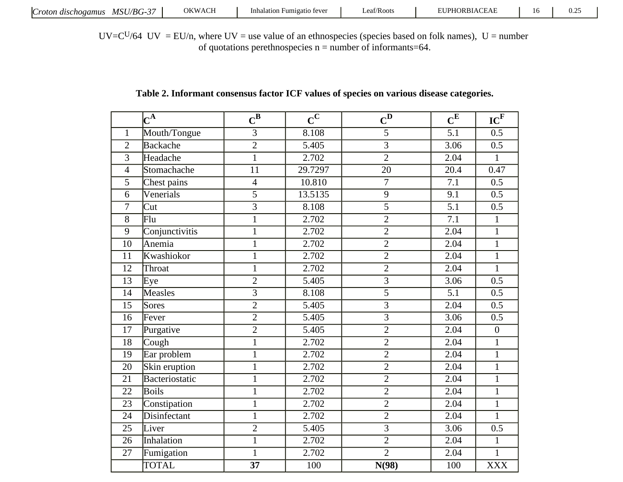UV= $C<sup>U</sup>/64$  UV = EU/n, where UV = use value of an ethnospecies (species based on folk names), U = number of quotations perethnospecies  $n =$  number of informants=64.

# **Table 2. Informant consensus factor ICF values of species on various disease categories.**

|                 | $\mathbf{C}^{\mathbf{A}}$ | $\mathbf{C}^{\mathbf{B}}$ | $\overline{c}^{\overline{c}}$ | $\mathbf{C}^{\mathbf{D}}$ | $\mathbf{C}^{\mathbf{E}}$ | IC <sup>F</sup>  |
|-----------------|---------------------------|---------------------------|-------------------------------|---------------------------|---------------------------|------------------|
| $\mathbf{1}$    | Mouth/Tongue              | $\overline{3}$            | 8.108                         | $\overline{5}$            | $\overline{5.1}$          | $\overline{0.5}$ |
| $\overline{2}$  | Backache                  | $\overline{2}$            | 5.405                         | $\overline{3}$            | 3.06                      | 0.5              |
| $\overline{3}$  | Headache                  | $\mathbf{1}$              | 2.702                         | $\overline{2}$            | 2.04                      | $\mathbf{1}$     |
| $\overline{4}$  | Stomachache               | 11                        | 29.7297                       | 20                        | 20.4                      | 0.47             |
| $\overline{5}$  | Chest pains               | $\overline{4}$            | 10.810                        | $\overline{7}$            | $\overline{7.1}$          | $\overline{0.5}$ |
| 6               | Venerials                 | $\overline{5}$            | 13.5135                       | $\mathbf{9}$              | 9.1                       | 0.5              |
| $\overline{7}$  | Cut                       | 3                         | 8.108                         | $\overline{5}$            | $\overline{5.1}$          | $\overline{0.5}$ |
| $\overline{8}$  | $\overline{\mathrm{Flu}}$ | $\mathbf{1}$              | 2.702                         | $\overline{2}$            | $\overline{7.1}$          | $\mathbf{1}$     |
| 9               | Conjunctivitis            | $\mathbf 1$               | 2.702                         | $\sqrt{2}$                | 2.04                      | $\mathbf{1}$     |
| $\overline{10}$ | Anemia                    | $\mathbf{1}$              | 2.702                         | $\sqrt{2}$                | 2.04                      | $\mathbf{1}$     |
| 11              | Kwashiokor                | $\mathbf{1}$              | 2.702                         | $\overline{2}$            | 2.04                      | $\mathbf{1}$     |
| 12              | Throat                    | $\mathbf{1}$              | 2.702                         | $\overline{2}$            | 2.04                      | $\mathbf{1}$     |
| 13              | Eye                       | $\overline{c}$            | 5.405                         | $\overline{3}$            | 3.06                      | 0.5              |
| $\overline{14}$ | Measles                   | $\overline{3}$            | 8.108                         | $\overline{5}$            | $\overline{5.1}$          | $\overline{0.5}$ |
| 15              | Sores                     | $\overline{2}$            | 5.405                         | $\overline{3}$            | 2.04                      | 0.5              |
| 16              | Fever                     | $\overline{2}$            | $\overline{5.405}$            | $\overline{3}$            | 3.06                      | $\overline{0.5}$ |
| 17              | Purgative                 | $\overline{2}$            | $\overline{5.405}$            | $\overline{2}$            | 2.04                      | $\boldsymbol{0}$ |
| 18              | Cough                     | $\overline{1}$            | 2.702                         | $\overline{2}$            | 2.04                      | $\overline{1}$   |
| 19              | Ear problem               | $\mathbf{1}$              | 2.702                         | $\overline{2}$            | 2.04                      | $\mathbf{1}$     |
| 20              | Skin eruption             | $\mathbf{1}$              | 2.702                         | $\overline{2}$            | 2.04                      | $\mathbf{1}$     |
| 21              | Bacteriostatic            | $\mathbf{1}$              | 2.702                         | $\overline{2}$            | $\overline{2.04}$         | $\mathbf{1}$     |
| 22              | <b>Boils</b>              | $\mathbf{1}$              | 2.702                         | $\overline{2}$            | 2.04                      | $\mathbf{1}$     |
| 23              | Constipation              | $\mathbf{1}$              | 2.702                         | $\overline{2}$            | 2.04                      | $\mathbf{1}$     |
| 24              | Disinfectant              | $\mathbf{1}$              | 2.702                         | $\overline{2}$            | 2.04                      | $\mathbf{1}$     |
| 25              | Liver                     | $\overline{c}$            | $\overline{5.405}$            | $\overline{3}$            | 3.06                      | 0.5              |
| 26              | Inhalation                | $\mathbf{1}$              | 2.702                         | $\overline{2}$            | 2.04                      | $\mathbf{1}$     |
| $\overline{27}$ | Fumigation                | $\overline{1}$            | 2.702                         | $\overline{2}$            | 2.04                      | $\overline{1}$   |
|                 | <b>TOTAL</b>              | 37                        | 100                           | N(98)                     | 100                       | <b>XXX</b>       |